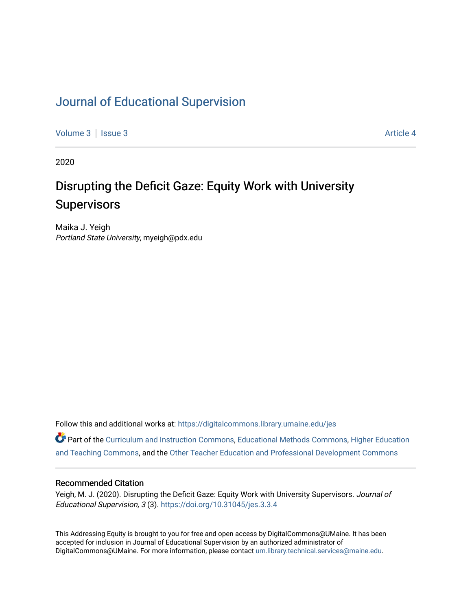## [Journal of Educational Supervision](https://digitalcommons.library.umaine.edu/jes)

[Volume 3](https://digitalcommons.library.umaine.edu/jes/vol3) | [Issue 3](https://digitalcommons.library.umaine.edu/jes/vol3/iss3) Article 4

2020

## Disrupting the Deficit Gaze: Equity Work with University **Supervisors**

Maika J. Yeigh Portland State University, myeigh@pdx.edu

Follow this and additional works at: [https://digitalcommons.library.umaine.edu/jes](https://digitalcommons.library.umaine.edu/jes?utm_source=digitalcommons.library.umaine.edu%2Fjes%2Fvol3%2Fiss3%2F4&utm_medium=PDF&utm_campaign=PDFCoverPages)

Part of the [Curriculum and Instruction Commons,](http://network.bepress.com/hgg/discipline/786?utm_source=digitalcommons.library.umaine.edu%2Fjes%2Fvol3%2Fiss3%2F4&utm_medium=PDF&utm_campaign=PDFCoverPages) [Educational Methods Commons,](http://network.bepress.com/hgg/discipline/1227?utm_source=digitalcommons.library.umaine.edu%2Fjes%2Fvol3%2Fiss3%2F4&utm_medium=PDF&utm_campaign=PDFCoverPages) [Higher Education](http://network.bepress.com/hgg/discipline/806?utm_source=digitalcommons.library.umaine.edu%2Fjes%2Fvol3%2Fiss3%2F4&utm_medium=PDF&utm_campaign=PDFCoverPages) [and Teaching Commons](http://network.bepress.com/hgg/discipline/806?utm_source=digitalcommons.library.umaine.edu%2Fjes%2Fvol3%2Fiss3%2F4&utm_medium=PDF&utm_campaign=PDFCoverPages), and the [Other Teacher Education and Professional Development Commons](http://network.bepress.com/hgg/discipline/810?utm_source=digitalcommons.library.umaine.edu%2Fjes%2Fvol3%2Fiss3%2F4&utm_medium=PDF&utm_campaign=PDFCoverPages)

#### Recommended Citation

Yeigh, M. J. (2020). Disrupting the Deficit Gaze: Equity Work with University Supervisors. Journal of Educational Supervision, 3 (3). <https://doi.org/10.31045/jes.3.3.4>

This Addressing Equity is brought to you for free and open access by DigitalCommons@UMaine. It has been accepted for inclusion in Journal of Educational Supervision by an authorized administrator of DigitalCommons@UMaine. For more information, please contact [um.library.technical.services@maine.edu](mailto:um.library.technical.services@maine.edu).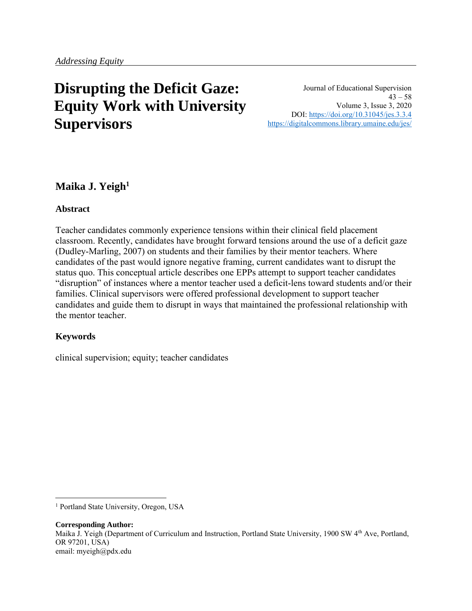# **Disrupting the Deficit Gaze: Equity Work with University Supervisors**

Journal of Educational Supervision  $43 - 58$ Volume 3, Issue 3, 2020 DOI:<https://doi.org/10.31045/jes.3.3.4> <https://digitalcommons.library.umaine.edu/jes/>

## **Maika J. Yeigh<sup>1</sup>**

#### **Abstract**

Teacher candidates commonly experience tensions within their clinical field placement classroom. Recently, candidates have brought forward tensions around the use of a deficit gaze (Dudley-Marling, 2007) on students and their families by their mentor teachers. Where candidates of the past would ignore negative framing, current candidates want to disrupt the status quo. This conceptual article describes one EPPs attempt to support teacher candidates "disruption" of instances where a mentor teacher used a deficit-lens toward students and/or their families. Clinical supervisors were offered professional development to support teacher candidates and guide them to disrupt in ways that maintained the professional relationship with the mentor teacher.

#### **Keywords**

clinical supervision; equity; teacher candidates

**Corresponding Author:** Maika J. Yeigh (Department of Curriculum and Instruction, Portland State University, 1900 SW 4<sup>th</sup> Ave, Portland, OR 97201, USA) email: myeigh@pdx.edu

<sup>&</sup>lt;sup>1</sup> Portland State University, Oregon, USA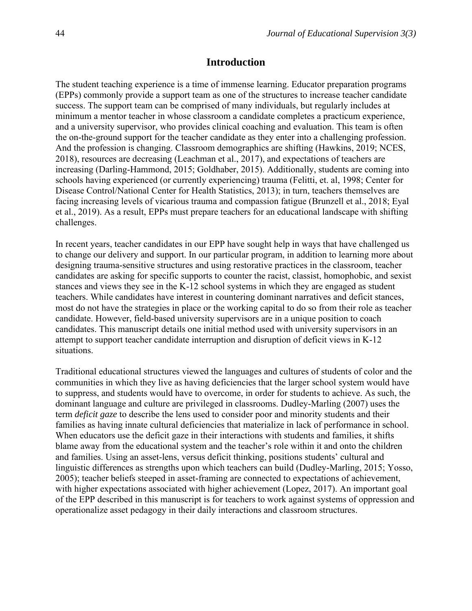#### **Introduction**

The student teaching experience is a time of immense learning. Educator preparation programs (EPPs) commonly provide a support team as one of the structures to increase teacher candidate success. The support team can be comprised of many individuals, but regularly includes at minimum a mentor teacher in whose classroom a candidate completes a practicum experience, and a university supervisor, who provides clinical coaching and evaluation. This team is often the on-the-ground support for the teacher candidate as they enter into a challenging profession. And the profession is changing. Classroom demographics are shifting (Hawkins, 2019; NCES, 2018), resources are decreasing (Leachman et al., 2017), and expectations of teachers are increasing (Darling-Hammond, 2015; Goldhaber, 2015). Additionally, students are coming into schools having experienced (or currently experiencing) trauma (Felitti, et. al, 1998; Center for Disease Control/National Center for Health Statistics, 2013); in turn, teachers themselves are facing increasing levels of vicarious trauma and compassion fatigue (Brunzell et al., 2018; Eyal et al., 2019). As a result, EPPs must prepare teachers for an educational landscape with shifting challenges.

In recent years, teacher candidates in our EPP have sought help in ways that have challenged us to change our delivery and support. In our particular program, in addition to learning more about designing trauma-sensitive structures and using restorative practices in the classroom, teacher candidates are asking for specific supports to counter the racist, classist, homophobic, and sexist stances and views they see in the K-12 school systems in which they are engaged as student teachers. While candidates have interest in countering dominant narratives and deficit stances, most do not have the strategies in place or the working capital to do so from their role as teacher candidate. However, field-based university supervisors are in a unique position to coach candidates. This manuscript details one initial method used with university supervisors in an attempt to support teacher candidate interruption and disruption of deficit views in K-12 situations.

Traditional educational structures viewed the languages and cultures of students of color and the communities in which they live as having deficiencies that the larger school system would have to suppress, and students would have to overcome, in order for students to achieve. As such, the dominant language and culture are privileged in classrooms. Dudley-Marling (2007) uses the term *deficit gaze* to describe the lens used to consider poor and minority students and their families as having innate cultural deficiencies that materialize in lack of performance in school. When educators use the deficit gaze in their interactions with students and families, it shifts blame away from the educational system and the teacher's role within it and onto the children and families. Using an asset-lens, versus deficit thinking, positions students' cultural and linguistic differences as strengths upon which teachers can build (Dudley-Marling, 2015; Yosso, 2005); teacher beliefs steeped in asset-framing are connected to expectations of achievement, with higher expectations associated with higher achievement (Lopez, 2017). An important goal of the EPP described in this manuscript is for teachers to work against systems of oppression and operationalize asset pedagogy in their daily interactions and classroom structures.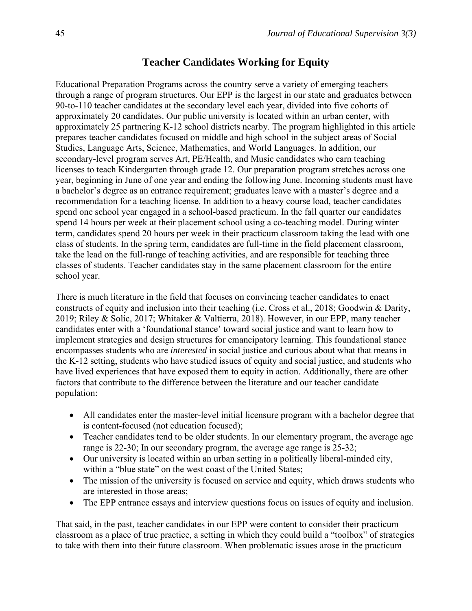## **Teacher Candidates Working for Equity**

Educational Preparation Programs across the country serve a variety of emerging teachers through a range of program structures. Our EPP is the largest in our state and graduates between 90-to-110 teacher candidates at the secondary level each year, divided into five cohorts of approximately 20 candidates. Our public university is located within an urban center, with approximately 25 partnering K-12 school districts nearby. The program highlighted in this article prepares teacher candidates focused on middle and high school in the subject areas of Social Studies, Language Arts, Science, Mathematics, and World Languages. In addition, our secondary-level program serves Art, PE/Health, and Music candidates who earn teaching licenses to teach Kindergarten through grade 12. Our preparation program stretches across one year, beginning in June of one year and ending the following June. Incoming students must have a bachelor's degree as an entrance requirement; graduates leave with a master's degree and a recommendation for a teaching license. In addition to a heavy course load, teacher candidates spend one school year engaged in a school-based practicum. In the fall quarter our candidates spend 14 hours per week at their placement school using a co-teaching model. During winter term, candidates spend 20 hours per week in their practicum classroom taking the lead with one class of students. In the spring term, candidates are full-time in the field placement classroom, take the lead on the full-range of teaching activities, and are responsible for teaching three classes of students. Teacher candidates stay in the same placement classroom for the entire school year.

There is much literature in the field that focuses on convincing teacher candidates to enact constructs of equity and inclusion into their teaching (i.e. Cross et al., 2018; Goodwin & Darity, 2019; Riley & Solic, 2017; Whitaker & Valtierra, 2018). However, in our EPP, many teacher candidates enter with a 'foundational stance' toward social justice and want to learn how to implement strategies and design structures for emancipatory learning. This foundational stance encompasses students who are *interested* in social justice and curious about what that means in the K-12 setting, students who have studied issues of equity and social justice, and students who have lived experiences that have exposed them to equity in action. Additionally, there are other factors that contribute to the difference between the literature and our teacher candidate population:

- All candidates enter the master-level initial licensure program with a bachelor degree that is content-focused (not education focused);
- Teacher candidates tend to be older students. In our elementary program, the average age range is 22-30; In our secondary program, the average age range is 25-32;
- Our university is located within an urban setting in a politically liberal-minded city, within a "blue state" on the west coast of the United States;
- The mission of the university is focused on service and equity, which draws students who are interested in those areas;
- The EPP entrance essays and interview questions focus on issues of equity and inclusion.

That said, in the past, teacher candidates in our EPP were content to consider their practicum classroom as a place of true practice, a setting in which they could build a "toolbox" of strategies to take with them into their future classroom. When problematic issues arose in the practicum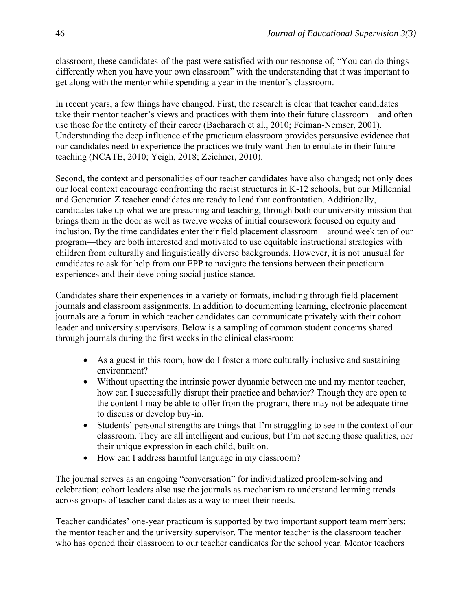classroom, these candidates-of-the-past were satisfied with our response of, "You can do things differently when you have your own classroom" with the understanding that it was important to get along with the mentor while spending a year in the mentor's classroom.

In recent years, a few things have changed. First, the research is clear that teacher candidates take their mentor teacher's views and practices with them into their future classroom—and often use those for the entirety of their career (Bacharach et al., 2010; Feiman-Nemser, 2001). Understanding the deep influence of the practicum classroom provides persuasive evidence that our candidates need to experience the practices we truly want then to emulate in their future teaching (NCATE, 2010; Yeigh, 2018; Zeichner, 2010).

Second, the context and personalities of our teacher candidates have also changed; not only does our local context encourage confronting the racist structures in K-12 schools, but our Millennial and Generation Z teacher candidates are ready to lead that confrontation. Additionally, candidates take up what we are preaching and teaching, through both our university mission that brings them in the door as well as twelve weeks of initial coursework focused on equity and inclusion. By the time candidates enter their field placement classroom—around week ten of our program—they are both interested and motivated to use equitable instructional strategies with children from culturally and linguistically diverse backgrounds. However, it is not unusual for candidates to ask for help from our EPP to navigate the tensions between their practicum experiences and their developing social justice stance.

Candidates share their experiences in a variety of formats, including through field placement journals and classroom assignments. In addition to documenting learning, electronic placement journals are a forum in which teacher candidates can communicate privately with their cohort leader and university supervisors. Below is a sampling of common student concerns shared through journals during the first weeks in the clinical classroom:

- As a guest in this room, how do I foster a more culturally inclusive and sustaining environment?
- Without upsetting the intrinsic power dynamic between me and my mentor teacher, how can I successfully disrupt their practice and behavior? Though they are open to the content I may be able to offer from the program, there may not be adequate time to discuss or develop buy-in.
- Students' personal strengths are things that I'm struggling to see in the context of our classroom. They are all intelligent and curious, but I'm not seeing those qualities, nor their unique expression in each child, built on.
- How can I address harmful language in my classroom?

The journal serves as an ongoing "conversation" for individualized problem-solving and celebration; cohort leaders also use the journals as mechanism to understand learning trends across groups of teacher candidates as a way to meet their needs.

Teacher candidates' one-year practicum is supported by two important support team members: the mentor teacher and the university supervisor. The mentor teacher is the classroom teacher who has opened their classroom to our teacher candidates for the school year. Mentor teachers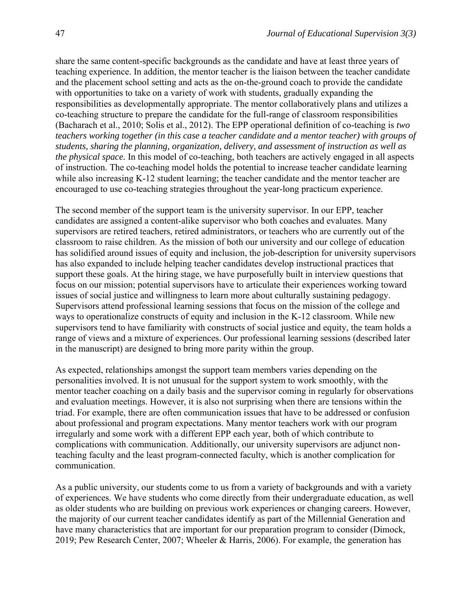share the same content-specific backgrounds as the candidate and have at least three years of teaching experience. In addition, the mentor teacher is the liaison between the teacher candidate and the placement school setting and acts as the on-the-ground coach to provide the candidate with opportunities to take on a variety of work with students, gradually expanding the responsibilities as developmentally appropriate. The mentor collaboratively plans and utilizes a co-teaching structure to prepare the candidate for the full-range of classroom responsibilities (Bacharach et al., 2010; Solis et al., 2012). The EPP operational definition of co-teaching is *two teachers working together (in this case a teacher candidate and a mentor teacher) with groups of students, sharing the planning, organization, delivery, and assessment of instruction as well as the physical space.* In this model of co-teaching, both teachers are actively engaged in all aspects of instruction. The co-teaching model holds the potential to increase teacher candidate learning while also increasing K-12 student learning; the teacher candidate and the mentor teacher are encouraged to use co-teaching strategies throughout the year-long practicum experience.

The second member of the support team is the university supervisor. In our EPP, teacher candidates are assigned a content-alike supervisor who both coaches and evaluates. Many supervisors are retired teachers, retired administrators, or teachers who are currently out of the classroom to raise children. As the mission of both our university and our college of education has solidified around issues of equity and inclusion, the job-description for university supervisors has also expanded to include helping teacher candidates develop instructional practices that support these goals. At the hiring stage, we have purposefully built in interview questions that focus on our mission; potential supervisors have to articulate their experiences working toward issues of social justice and willingness to learn more about culturally sustaining pedagogy. Supervisors attend professional learning sessions that focus on the mission of the college and ways to operationalize constructs of equity and inclusion in the K-12 classroom. While new supervisors tend to have familiarity with constructs of social justice and equity, the team holds a range of views and a mixture of experiences. Our professional learning sessions (described later in the manuscript) are designed to bring more parity within the group.

As expected, relationships amongst the support team members varies depending on the personalities involved. It is not unusual for the support system to work smoothly, with the mentor teacher coaching on a daily basis and the supervisor coming in regularly for observations and evaluation meetings. However, it is also not surprising when there are tensions within the triad. For example, there are often communication issues that have to be addressed or confusion about professional and program expectations. Many mentor teachers work with our program irregularly and some work with a different EPP each year, both of which contribute to complications with communication. Additionally, our university supervisors are adjunct nonteaching faculty and the least program-connected faculty, which is another complication for communication.

As a public university, our students come to us from a variety of backgrounds and with a variety of experiences. We have students who come directly from their undergraduate education, as well as older students who are building on previous work experiences or changing careers. However, the majority of our current teacher candidates identify as part of the Millennial Generation and have many characteristics that are important for our preparation program to consider (Dimock, 2019; Pew Research Center, 2007; Wheeler & Harris, 2006). For example, the generation has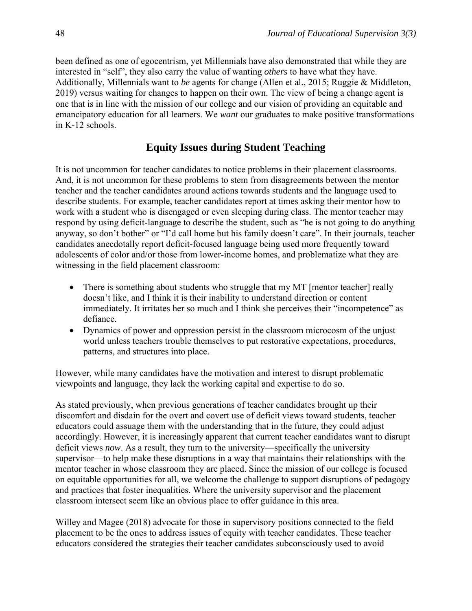been defined as one of egocentrism, yet Millennials have also demonstrated that while they are interested in "self", they also carry the value of wanting *others* to have what they have. Additionally, Millennials want to *be* agents for change (Allen et al., 2015; Ruggie & Middleton, 2019) versus waiting for changes to happen on their own. The view of being a change agent is one that is in line with the mission of our college and our vision of providing an equitable and emancipatory education for all learners. We *want* our graduates to make positive transformations in K-12 schools.

## **Equity Issues during Student Teaching**

It is not uncommon for teacher candidates to notice problems in their placement classrooms. And, it is not uncommon for these problems to stem from disagreements between the mentor teacher and the teacher candidates around actions towards students and the language used to describe students. For example, teacher candidates report at times asking their mentor how to work with a student who is disengaged or even sleeping during class. The mentor teacher may respond by using deficit-language to describe the student, such as "he is not going to do anything anyway, so don't bother" or "I'd call home but his family doesn't care". In their journals, teacher candidates anecdotally report deficit-focused language being used more frequently toward adolescents of color and/or those from lower-income homes, and problematize what they are witnessing in the field placement classroom:

- There is something about students who struggle that my MT [mentor teacher] really doesn't like, and I think it is their inability to understand direction or content immediately. It irritates her so much and I think she perceives their "incompetence" as defiance.
- Dynamics of power and oppression persist in the classroom microcosm of the unjust world unless teachers trouble themselves to put restorative expectations, procedures, patterns, and structures into place.

However, while many candidates have the motivation and interest to disrupt problematic viewpoints and language, they lack the working capital and expertise to do so.

As stated previously, when previous generations of teacher candidates brought up their discomfort and disdain for the overt and covert use of deficit views toward students, teacher educators could assuage them with the understanding that in the future, they could adjust accordingly. However, it is increasingly apparent that current teacher candidates want to disrupt deficit views *now*. As a result, they turn to the university—specifically the university supervisor—to help make these disruptions in a way that maintains their relationships with the mentor teacher in whose classroom they are placed. Since the mission of our college is focused on equitable opportunities for all, we welcome the challenge to support disruptions of pedagogy and practices that foster inequalities. Where the university supervisor and the placement classroom intersect seem like an obvious place to offer guidance in this area.

Willey and Magee (2018) advocate for those in supervisory positions connected to the field placement to be the ones to address issues of equity with teacher candidates. These teacher educators considered the strategies their teacher candidates subconsciously used to avoid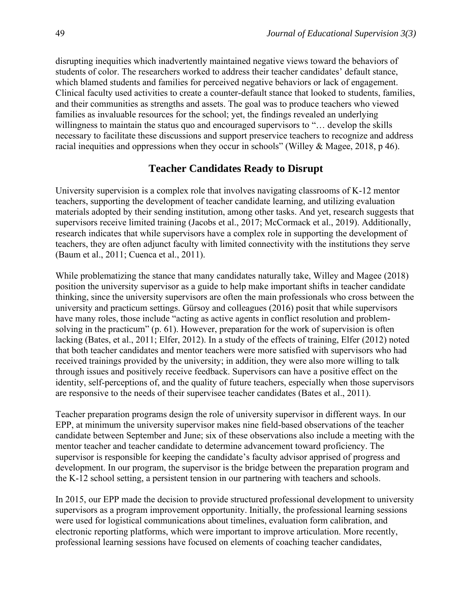disrupting inequities which inadvertently maintained negative views toward the behaviors of students of color. The researchers worked to address their teacher candidates' default stance, which blamed students and families for perceived negative behaviors or lack of engagement. Clinical faculty used activities to create a counter-default stance that looked to students, families, and their communities as strengths and assets. The goal was to produce teachers who viewed families as invaluable resources for the school; yet, the findings revealed an underlying willingness to maintain the status quo and encouraged supervisors to "… develop the skills necessary to facilitate these discussions and support preservice teachers to recognize and address racial inequities and oppressions when they occur in schools" (Willey & Magee, 2018, p 46).

#### **Teacher Candidates Ready to Disrupt**

University supervision is a complex role that involves navigating classrooms of K-12 mentor teachers, supporting the development of teacher candidate learning, and utilizing evaluation materials adopted by their sending institution, among other tasks. And yet, research suggests that supervisors receive limited training (Jacobs et al., 2017; McCormack et al., 2019). Additionally, research indicates that while supervisors have a complex role in supporting the development of teachers, they are often adjunct faculty with limited connectivity with the institutions they serve (Baum et al., 2011; Cuenca et al., 2011).

While problematizing the stance that many candidates naturally take, Willey and Magee (2018) position the university supervisor as a guide to help make important shifts in teacher candidate thinking, since the university supervisors are often the main professionals who cross between the university and practicum settings. Gürsoy and colleagues (2016) posit that while supervisors have many roles, those include "acting as active agents in conflict resolution and problemsolving in the practicum" (p. 61). However, preparation for the work of supervision is often lacking (Bates, et al., 2011; Elfer, 2012). In a study of the effects of training, Elfer (2012) noted that both teacher candidates and mentor teachers were more satisfied with supervisors who had received trainings provided by the university; in addition, they were also more willing to talk through issues and positively receive feedback. Supervisors can have a positive effect on the identity, self-perceptions of, and the quality of future teachers, especially when those supervisors are responsive to the needs of their supervisee teacher candidates (Bates et al., 2011).

Teacher preparation programs design the role of university supervisor in different ways. In our EPP, at minimum the university supervisor makes nine field-based observations of the teacher candidate between September and June; six of these observations also include a meeting with the mentor teacher and teacher candidate to determine advancement toward proficiency. The supervisor is responsible for keeping the candidate's faculty advisor apprised of progress and development. In our program, the supervisor is the bridge between the preparation program and the K-12 school setting, a persistent tension in our partnering with teachers and schools.

In 2015, our EPP made the decision to provide structured professional development to university supervisors as a program improvement opportunity. Initially, the professional learning sessions were used for logistical communications about timelines, evaluation form calibration, and electronic reporting platforms, which were important to improve articulation. More recently, professional learning sessions have focused on elements of coaching teacher candidates,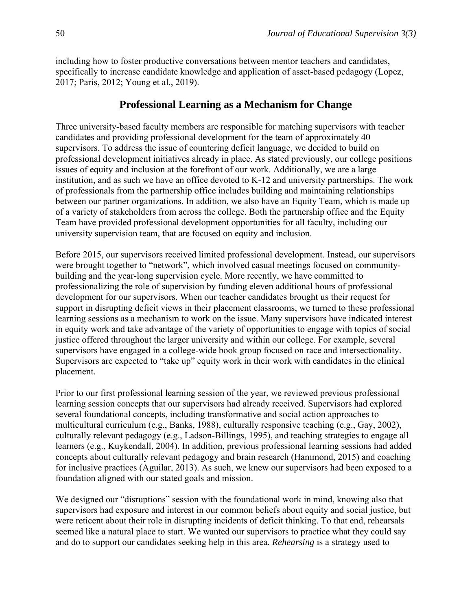including how to foster productive conversations between mentor teachers and candidates, specifically to increase candidate knowledge and application of asset-based pedagogy (Lopez, 2017; Paris, 2012; Young et al., 2019).

## **Professional Learning as a Mechanism for Change**

Three university-based faculty members are responsible for matching supervisors with teacher candidates and providing professional development for the team of approximately 40 supervisors. To address the issue of countering deficit language, we decided to build on professional development initiatives already in place. As stated previously, our college positions issues of equity and inclusion at the forefront of our work. Additionally, we are a large institution, and as such we have an office devoted to K-12 and university partnerships. The work of professionals from the partnership office includes building and maintaining relationships between our partner organizations. In addition, we also have an Equity Team, which is made up of a variety of stakeholders from across the college. Both the partnership office and the Equity Team have provided professional development opportunities for all faculty, including our university supervision team, that are focused on equity and inclusion.

Before 2015, our supervisors received limited professional development. Instead, our supervisors were brought together to "network", which involved casual meetings focused on communitybuilding and the year-long supervision cycle. More recently, we have committed to professionalizing the role of supervision by funding eleven additional hours of professional development for our supervisors. When our teacher candidates brought us their request for support in disrupting deficit views in their placement classrooms, we turned to these professional learning sessions as a mechanism to work on the issue. Many supervisors have indicated interest in equity work and take advantage of the variety of opportunities to engage with topics of social justice offered throughout the larger university and within our college. For example, several supervisors have engaged in a college-wide book group focused on race and intersectionality. Supervisors are expected to "take up" equity work in their work with candidates in the clinical placement.

Prior to our first professional learning session of the year, we reviewed previous professional learning session concepts that our supervisors had already received. Supervisors had explored several foundational concepts, including transformative and social action approaches to multicultural curriculum (e.g., Banks, 1988), culturally responsive teaching (e.g., Gay, 2002), culturally relevant pedagogy (e.g., Ladson-Billings, 1995), and teaching strategies to engage all learners (e.g., Kuykendall, 2004). In addition, previous professional learning sessions had added concepts about culturally relevant pedagogy and brain research (Hammond, 2015) and coaching for inclusive practices (Aguilar, 2013). As such, we knew our supervisors had been exposed to a foundation aligned with our stated goals and mission.

We designed our "disruptions" session with the foundational work in mind, knowing also that supervisors had exposure and interest in our common beliefs about equity and social justice, but were reticent about their role in disrupting incidents of deficit thinking. To that end, rehearsals seemed like a natural place to start. We wanted our supervisors to practice what they could say and do to support our candidates seeking help in this area. *Rehearsing* is a strategy used to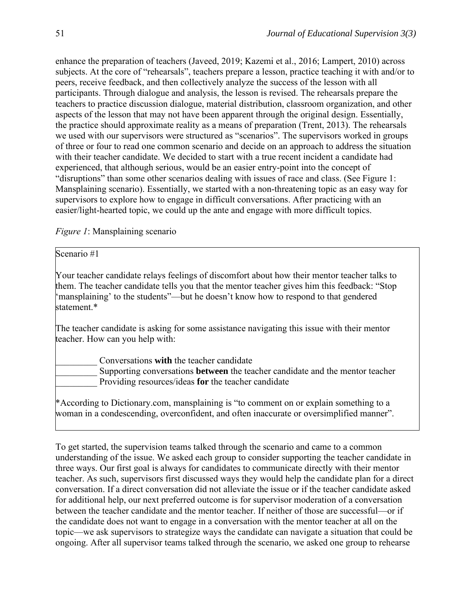enhance the preparation of teachers (Javeed, 2019; Kazemi et al., 2016; Lampert, 2010) across subjects. At the core of "rehearsals", teachers prepare a lesson, practice teaching it with and/or to peers, receive feedback, and then collectively analyze the success of the lesson with all participants. Through dialogue and analysis, the lesson is revised. The rehearsals prepare the teachers to practice discussion dialogue, material distribution, classroom organization, and other aspects of the lesson that may not have been apparent through the original design. Essentially, the practice should approximate reality as a means of preparation (Trent, 2013). The rehearsals we used with our supervisors were structured as "scenarios". The supervisors worked in groups of three or four to read one common scenario and decide on an approach to address the situation with their teacher candidate. We decided to start with a true recent incident a candidate had experienced, that although serious, would be an easier entry-point into the concept of "disruptions" than some other scenarios dealing with issues of race and class. (See Figure 1: Mansplaining scenario). Essentially, we started with a non-threatening topic as an easy way for supervisors to explore how to engage in difficult conversations. After practicing with an easier/light-hearted topic, we could up the ante and engage with more difficult topics.

*Figure 1*: Mansplaining scenario

Scenario #1

Your teacher candidate relays feelings of discomfort about how their mentor teacher talks to them. The teacher candidate tells you that the mentor teacher gives him this feedback: "Stop 'mansplaining' to the students"—but he doesn't know how to respond to that gendered statement \*

The teacher candidate is asking for some assistance navigating this issue with their mentor teacher. How can you help with:

\_\_\_\_\_\_\_\_\_ Conversations **with** the teacher candidate

\_\_\_\_\_\_\_\_\_ Supporting conversations **between** the teacher candidate and the mentor teacher \_\_\_\_\_\_\_\_\_ Providing resources/ideas **for** the teacher candidate

\*According to Dictionary.com, mansplaining is "to comment on or explain something to a woman in a condescending, overconfident, and often inaccurate or oversimplified manner".

To get started, the supervision teams talked through the scenario and came to a common understanding of the issue. We asked each group to consider supporting the teacher candidate in three ways. Our first goal is always for candidates to communicate directly with their mentor teacher. As such, supervisors first discussed ways they would help the candidate plan for a direct conversation. If a direct conversation did not alleviate the issue or if the teacher candidate asked for additional help, our next preferred outcome is for supervisor moderation of a conversation between the teacher candidate and the mentor teacher. If neither of those are successful—or if the candidate does not want to engage in a conversation with the mentor teacher at all on the topic—we ask supervisors to strategize ways the candidate can navigate a situation that could be ongoing. After all supervisor teams talked through the scenario, we asked one group to rehearse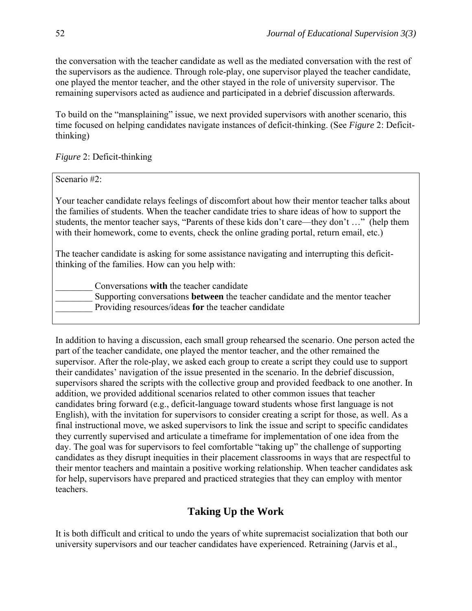the conversation with the teacher candidate as well as the mediated conversation with the rest of the supervisors as the audience. Through role-play, one supervisor played the teacher candidate, one played the mentor teacher, and the other stayed in the role of university supervisor. The remaining supervisors acted as audience and participated in a debrief discussion afterwards.

To build on the "mansplaining" issue, we next provided supervisors with another scenario, this time focused on helping candidates navigate instances of deficit-thinking. (See *Figure* 2: Deficitthinking)

*Figure* 2: Deficit-thinking

Scenario #2:

Your teacher candidate relays feelings of discomfort about how their mentor teacher talks about the families of students. When the teacher candidate tries to share ideas of how to support the students, the mentor teacher says, "Parents of these kids don't care—they don't …" (help them with their homework, come to events, check the online grading portal, return email, etc.)

The teacher candidate is asking for some assistance navigating and interrupting this deficitthinking of the families. How can you help with:

\_\_\_\_\_\_\_\_ Conversations **with** the teacher candidate \_\_\_\_\_\_\_\_ Supporting conversations **between** the teacher candidate and the mentor teacher \_\_\_\_\_\_\_\_ Providing resources/ideas **for** the teacher candidate

In addition to having a discussion, each small group rehearsed the scenario. One person acted the part of the teacher candidate, one played the mentor teacher, and the other remained the supervisor. After the role-play, we asked each group to create a script they could use to support their candidates' navigation of the issue presented in the scenario. In the debrief discussion, supervisors shared the scripts with the collective group and provided feedback to one another. In addition, we provided additional scenarios related to other common issues that teacher candidates bring forward (e.g., deficit-language toward students whose first language is not English), with the invitation for supervisors to consider creating a script for those, as well. As a final instructional move, we asked supervisors to link the issue and script to specific candidates they currently supervised and articulate a timeframe for implementation of one idea from the day. The goal was for supervisors to feel comfortable "taking up" the challenge of supporting candidates as they disrupt inequities in their placement classrooms in ways that are respectful to their mentor teachers and maintain a positive working relationship. When teacher candidates ask for help, supervisors have prepared and practiced strategies that they can employ with mentor teachers.

## **Taking Up the Work**

It is both difficult and critical to undo the years of white supremacist socialization that both our university supervisors and our teacher candidates have experienced. Retraining (Jarvis et al.,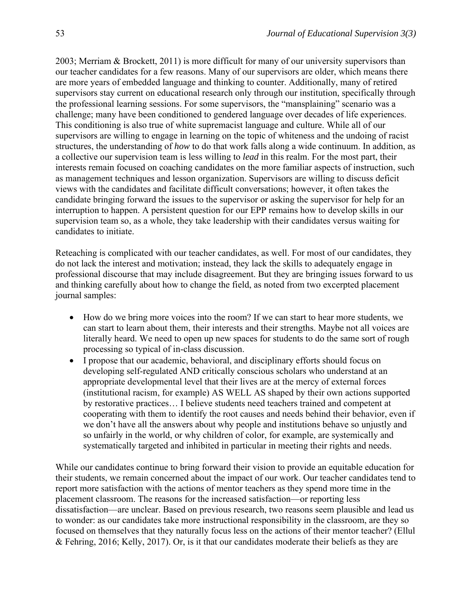2003; Merriam & Brockett, 2011) is more difficult for many of our university supervisors than our teacher candidates for a few reasons. Many of our supervisors are older, which means there are more years of embedded language and thinking to counter. Additionally, many of retired supervisors stay current on educational research only through our institution, specifically through the professional learning sessions. For some supervisors, the "mansplaining" scenario was a challenge; many have been conditioned to gendered language over decades of life experiences. This conditioning is also true of white supremacist language and culture. While all of our supervisors are willing to engage in learning on the topic of whiteness and the undoing of racist structures, the understanding of *how* to do that work falls along a wide continuum. In addition, as a collective our supervision team is less willing to *lead* in this realm. For the most part, their interests remain focused on coaching candidates on the more familiar aspects of instruction, such as management techniques and lesson organization. Supervisors are willing to discuss deficit views with the candidates and facilitate difficult conversations; however, it often takes the candidate bringing forward the issues to the supervisor or asking the supervisor for help for an interruption to happen. A persistent question for our EPP remains how to develop skills in our supervision team so, as a whole, they take leadership with their candidates versus waiting for candidates to initiate.

Reteaching is complicated with our teacher candidates, as well. For most of our candidates, they do not lack the interest and motivation; instead, they lack the skills to adequately engage in professional discourse that may include disagreement. But they are bringing issues forward to us and thinking carefully about how to change the field, as noted from two excerpted placement journal samples:

- How do we bring more voices into the room? If we can start to hear more students, we can start to learn about them, their interests and their strengths. Maybe not all voices are literally heard. We need to open up new spaces for students to do the same sort of rough processing so typical of in-class discussion.
- I propose that our academic, behavioral, and disciplinary efforts should focus on developing self-regulated AND critically conscious scholars who understand at an appropriate developmental level that their lives are at the mercy of external forces (institutional racism, for example) AS WELL AS shaped by their own actions supported by restorative practices… I believe students need teachers trained and competent at cooperating with them to identify the root causes and needs behind their behavior, even if we don't have all the answers about why people and institutions behave so unjustly and so unfairly in the world, or why children of color, for example, are systemically and systematically targeted and inhibited in particular in meeting their rights and needs.

While our candidates continue to bring forward their vision to provide an equitable education for their students, we remain concerned about the impact of our work. Our teacher candidates tend to report more satisfaction with the actions of mentor teachers as they spend more time in the placement classroom. The reasons for the increased satisfaction—or reporting less dissatisfaction—are unclear. Based on previous research, two reasons seem plausible and lead us to wonder: as our candidates take more instructional responsibility in the classroom, are they so focused on themselves that they naturally focus less on the actions of their mentor teacher? (Ellul & Fehring, 2016; Kelly, 2017). Or, is it that our candidates moderate their beliefs as they are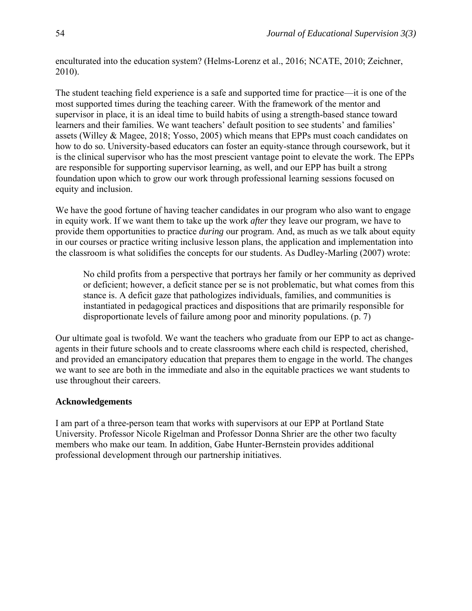enculturated into the education system? (Helms-Lorenz et al., 2016; NCATE, 2010; Zeichner, 2010).

The student teaching field experience is a safe and supported time for practice—it is one of the most supported times during the teaching career. With the framework of the mentor and supervisor in place, it is an ideal time to build habits of using a strength-based stance toward learners and their families. We want teachers' default position to see students' and families' assets (Willey & Magee, 2018; Yosso, 2005) which means that EPPs must coach candidates on how to do so. University-based educators can foster an equity-stance through coursework, but it is the clinical supervisor who has the most prescient vantage point to elevate the work. The EPPs are responsible for supporting supervisor learning, as well, and our EPP has built a strong foundation upon which to grow our work through professional learning sessions focused on equity and inclusion.

We have the good fortune of having teacher candidates in our program who also want to engage in equity work. If we want them to take up the work *after* they leave our program, we have to provide them opportunities to practice *during* our program. And, as much as we talk about equity in our courses or practice writing inclusive lesson plans, the application and implementation into the classroom is what solidifies the concepts for our students. As Dudley-Marling (2007) wrote:

No child profits from a perspective that portrays her family or her community as deprived or deficient; however, a deficit stance per se is not problematic, but what comes from this stance is. A deficit gaze that pathologizes individuals, families, and communities is instantiated in pedagogical practices and dispositions that are primarily responsible for disproportionate levels of failure among poor and minority populations. (p. 7)

Our ultimate goal is twofold. We want the teachers who graduate from our EPP to act as changeagents in their future schools and to create classrooms where each child is respected, cherished, and provided an emancipatory education that prepares them to engage in the world. The changes we want to see are both in the immediate and also in the equitable practices we want students to use throughout their careers.

#### **Acknowledgements**

I am part of a three-person team that works with supervisors at our EPP at Portland State University. Professor Nicole Rigelman and Professor Donna Shrier are the other two faculty members who make our team. In addition, Gabe Hunter-Bernstein provides additional professional development through our partnership initiatives.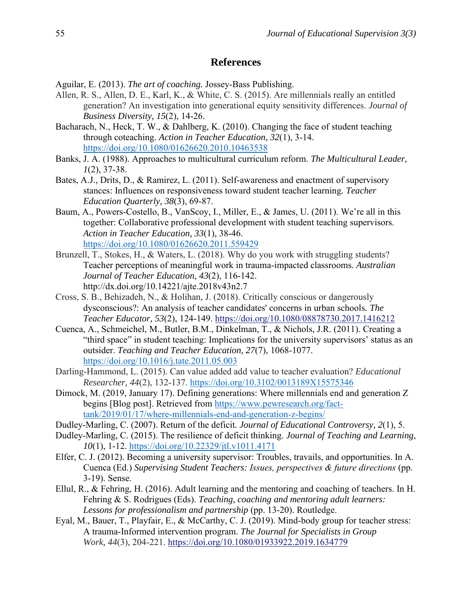#### **References**

Aguilar, E. (2013). *The art of coaching.* Jossey-Bass Publishing.

- Allen, R. S., Allen, D. E., Karl, K., & White, C. S. (2015). Are millennials really an entitled generation? An investigation into generational equity sensitivity differences. *Journal of Business Diversity, 15*(2), 14-26.
- Bacharach, N., Heck, T. W., & Dahlberg, K. (2010). Changing the face of student teaching through coteaching. *Action in Teacher Education, 32*(1), 3-14. <https://doi.org/10.1080/01626620.2010.10463538>
- Banks, J. A. (1988). Approaches to multicultural curriculum reform. *The Multicultural Leader, 1*(2), 37-38.
- Bates, A.J., Drits, D., & Ramirez, L. (2011). Self-awareness and enactment of supervisory stances: Influences on responsiveness toward student teacher learning*. Teacher Education Quarterly, 38*(3), 69-87.
- Baum, A., Powers-Costello, B., VanScoy, I., Miller, E., & James, U. (2011). We're all in this together: Collaborative professional development with student teaching supervisors. *Action in Teacher Education, 33*(1), 38-46. <https://doi.org/10.1080/01626620.2011.559429>
- Brunzell, T., Stokes, H., & Waters, L. (2018). Why do you work with struggling students? Teacher perceptions of meaningful work in trauma-impacted classrooms. *Australian Journal of Teacher Education, 43*(2), 116-142. http://dx.doi.org/10.14221/ajte.2018v43n2.7
- Cross, S. B., Behizadeh, N., & Holihan, J. (2018). Critically conscious or dangerously dysconscious?: An analysis of teacher candidates' concerns in urban schools*. The Teacher Educator, 53*(2), 124-149. <https://doi.org/10.1080/08878730.2017.1416212>
- Cuenca, A., Schmeichel, M., Butler, B.M., Dinkelman, T., & Nichols, J.R. (2011). Creating a "third space" in student teaching: Implications for the university supervisors' status as an outsider. *Teaching and Teacher Education, 27*(7), 1068-1077. <https://doi.org/10.1016/j.tate.2011.05.003>
- Darling-Hammond, L. (2015). Can value added add value to teacher evaluation? *Educational Researcher, 44*(2), 132-137. [https://doi.org/10.3102/0013189X15575346](https://doi.org/10.3102%2F0013189X15575346)
- Dimock, M. (2019, January 17). Defining generations: Where millennials end and generation Z begins [Blog post]. Retrieved from [https://www.pewresearch.org/fact](https://www.pewresearch.org/fact-tank/2019/01/17/where-millennials-end-and-generation-z-begins/)[tank/2019/01/17/where-millennials-end-and-generation-z-begins/](https://www.pewresearch.org/fact-tank/2019/01/17/where-millennials-end-and-generation-z-begins/)
- Dudley-Marling, C. (2007). Return of the deficit*. Journal of Educational Controversy, 2*(1), 5.
- Dudley-Marling, C. (2015). The resilience of deficit thinking. *Journal of Teaching and Learning, 10*(1), 1-12.<https://doi.org/10.22329/jtl.v1011.4171>
- Elfer, C. J. (2012). Becoming a university supervisor: Troubles, travails, and opportunities. In A. Cuenca (Ed.) *Supervising Student Teachers: Issues, perspectives & future directions* (pp. 3-19). Sense.
- Ellul, R., & Fehring, H. (2016). Adult learning and the mentoring and coaching of teachers. In H. Fehring & S. Rodrigues (Eds). *Teaching, coaching and mentoring adult learners: Lessons for professionalism and partnership* (pp. 13-20). Routledge.
- Eyal, M., Bauer, T., Playfair, E., & McCarthy, C. J. (2019). Mind-body group for teacher stress: A trauma-Informed intervention program. *The Journal for Specialists in Group Work, 44*(3), 204-221. <https://doi.org/10.1080/01933922.2019.1634779>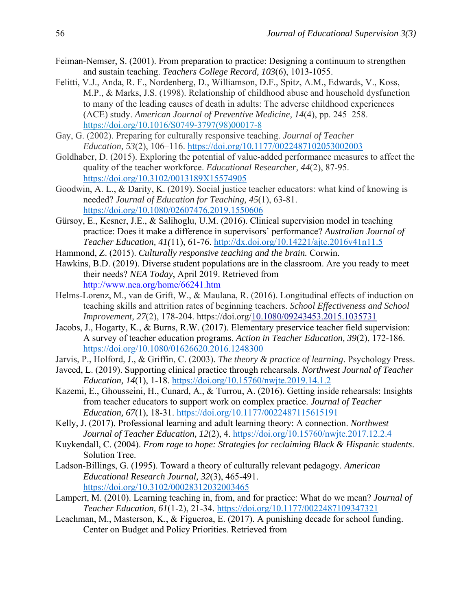- Feiman-Nemser, S. (2001). From preparation to practice: Designing a continuum to strengthen and sustain teaching. *Teachers College Record, 103*(6), 1013-1055.
- Felitti, V.J., Anda, R. F., Nordenberg, D., Williamson, D.F., Spitz, A.M., Edwards, V., Koss, M.P., & Marks, J.S. (1998). Relationship of childhood abuse and household dysfunction to many of the leading causes of death in adults: The adverse childhood experiences (ACE) study. *American Journal of Preventive Medicine, 14*(4), pp. 245–258. [https://doi.org/10.1016/S0749-3797\(98\)00017-8](https://doi.org/10.1016/S0749-3797(98)00017-8)
- Gay, G. (2002). Preparing for culturally responsive teaching. *Journal of Teacher Education, 53*(2), 106–116. [https://doi.org/10.1177/0022487102053002003](https://doi.org/10.1177%2F0022487102053002003)
- Goldhaber, D. (2015). Exploring the potential of value-added performance measures to affect the quality of the teacher workforce. *Educational Researcher, 44*(2), 87-95. <https://doi.org/10.3102/0013189X15574905>
- Goodwin, A. L., & Darity, K. (2019). Social justice teacher educators: what kind of knowing is needed? *Journal of Education for Teaching, 45*(1), 63-81. <https://doi.org/10.1080/02607476.2019.1550606>
- Gürsoy, E., Kesner, J.E., & Salihoglu, U.M. (2016). Clinical supervision model in teaching practice: Does it make a difference in supervisors' performance? *Australian Journal of Teacher Education, 41(*11), 61-76. <http://dx.doi.org/10.14221/ajte.2016v41n11.5>
- Hammond, Z. (2015). *Culturally responsive teaching and the brain.* Corwin.
- Hawkins, B.D. (2019). Diverse student populations are in the classroom. Are you ready to meet their needs? *NEA Today*, April 2019. Retrieved from <http://www.nea.org/home/66241.htm>
- Helms-Lorenz, M., van de Grift, W., & Maulana, R. (2016). Longitudinal effects of induction on teaching skills and attrition rates of beginning teachers. *School Effectiveness and School Improvement, 27*(2), 178-204. https://doi.org[/10.1080/09243453.2015.1035731](https://doi.org/10.1080/09243453.2015.1035731)
- Jacobs, J., Hogarty, K., & Burns, R.W. (2017). Elementary preservice teacher field supervision: A survey of teacher education programs. *Action in Teacher Education, 39*(2), 172-186. <https://doi.org/10.1080/01626620.2016.1248300>
- Jarvis, P., Holford, J., & Griffin, C. (2003). *The theory & practice of learning*. Psychology Press.
- Javeed, L. (2019). Supporting clinical practice through rehearsals. *Northwest Journal of Teacher Education, 14*(1), 1-18. <https://doi.org/10.15760/nwjte.2019.14.1.2>
- Kazemi, E., Ghousseini, H., Cunard, A., & Turrou, A. (2016). Getting inside rehearsals: Insights from teacher educators to support work on complex practice. *Journal of Teacher Education, 67*(1), 18-31. [https://doi.org/10.1177/0022487115615191](https://doi.org/10.1177%2F0022487115615191)
- Kelly, J. (2017). Professional learning and adult learning theory: A connection. *Northwest Journal of Teacher Education, 12*(2), 4. <https://doi.org/10.15760/nwjte.2017.12.2.4>
- Kuykendall, C. (2004). *From rage to hope: Strategies for reclaiming Black & Hispanic students*. Solution Tree.
- Ladson-Billings, G. (1995). Toward a theory of culturally relevant pedagogy. *American Educational Research Journal, 32*(3), 465-491. <https://doi.org/10.3102/00028312032003465>
- Lampert, M. (2010). Learning teaching in, from, and for practice: What do we mean? *Journal of Teacher Education, 61*(1-2), 21-34. [https://doi.org/10.1177/0022487109347321](https://doi.org/10.1177%2F0022487109347321)
- Leachman, M., Masterson, K., & Figueroa, E. (2017). A punishing decade for school funding. Center on Budget and Policy Priorities. Retrieved from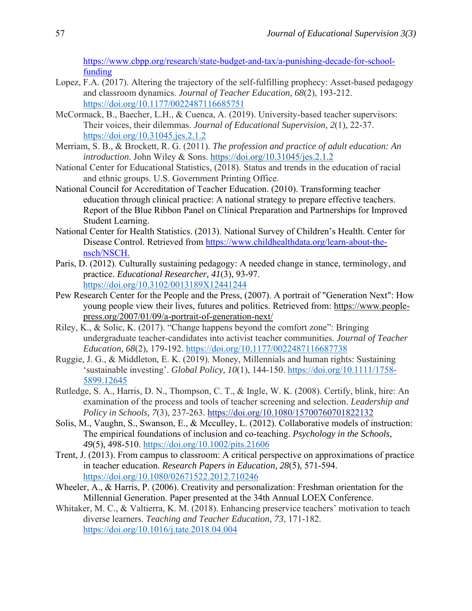[https://www.cbpp.org/research/state-budget-and-tax/a-punishing-decade-for-school](https://www.cbpp.org/research/state-budget-and-tax/a-punishing-decade-for-school-funding)[funding](https://www.cbpp.org/research/state-budget-and-tax/a-punishing-decade-for-school-funding)

- Lopez, F.A. (2017). Altering the trajectory of the self-fulfilling prophecy: Asset-based pedagogy and classroom dynamics. *Journal of Teacher Education, 68*(2), 193-212. <https://doi.org/10.1177/0022487116685751>
- McCormack, B., Baecher, L.H., & Cuenca, A. (2019). University-based teacher supervisors: Their voices, their dilemmas. *Journal of Educational Supervision, 2*(1), 22-37. <https://doi.org/10.31045.jes.2.1.2>
- Merriam, S. B., & Brockett, R. G. (2011). *The profession and practice of adult education: An introduction.* John Wiley & Sons. <https://doi.org/10.31045/jes.2.1.2>
- National Center for Educational Statistics, (2018). Status and trends in the education of racial and ethnic groups. U.S. Government Printing Office.
- National Council for Accreditation of Teacher Education. (2010). Transforming teacher education through clinical practice: A national strategy to prepare effective teachers. Report of the Blue Ribbon Panel on Clinical Preparation and Partnerships for Improved Student Learning.
- National Center for Health Statistics. (2013). National Survey of Children's Health. Center for Disease Control. Retrieved from [https://www.childhealthdata.org/learn-about-the](https://www.childhealthdata.org/learn-about-the-nsch/NSCH)[nsch/NSCH.](https://www.childhealthdata.org/learn-about-the-nsch/NSCH)
- Paris, D. (2012). Culturally sustaining pedagogy: A needed change in stance, terminology, and practice. *Educational Researcher, 41*(3), 93-97. <https://doi.org/10.3102/0013189X12441244>
- Pew Research Center for the People and the Press, (2007). A portrait of "Generation Next": How young people view their lives, futures and politics. Retrieved from: [https://www.people](https://www.people-press.org/2007/01/09/a-portrait-of-generation-next/)[press.org/2007/01/09/a-portrait-of-generation-next/](https://www.people-press.org/2007/01/09/a-portrait-of-generation-next/)
- Riley, K., & Solic, K. (2017). "Change happens beyond the comfort zone": Bringing undergraduate teacher-candidates into activist teacher communities. *Journal of Teacher Education, 68*(2), 179-192. [https://doi.org/10.1177/0022487116687738](https://doi.org/10.1177%2F0022487116687738)
- Ruggie, J. G., & Middleton, E. K. (2019). Money, Millennials and human rights: Sustaining 'sustainable investing'. *Global Policy, 10*(1), 144-150. [https://doi.org/10.1111/1758-](https://doi.org/10.1111/1758-5899.12645) [5899.12645](https://doi.org/10.1111/1758-5899.12645)
- Rutledge, S. A., Harris, D. N., Thompson, C. T., & Ingle, W. K. (2008). Certify, blink, hire: An examination of the process and tools of teacher screening and selection. *Leadership and Policy in Schools, 7*(3), 237-263. <https://doi.org/10.1080/15700760701822132>
- Solis, M., Vaughn, S., Swanson, E., & Mcculley, L. (2012). Collaborative models of instruction: The empirical foundations of inclusion and co-teaching. *Psychology in the Schools*, *49*(5), 498-510. <https://doi.org/10.1002/pits.21606>
- Trent, J. (2013). From campus to classroom: A critical perspective on approximations of practice in teacher education. *Research Papers in Education, 28*(5), 571-594. <https://doi.org/10.1080/02671522.2012.710246>
- Wheeler, A., & Harris, P. (2006). Creativity and personalization: Freshman orientation for the Millennial Generation. Paper presented at the 34th Annual LOEX Conference.
- Whitaker, M. C., & Valtierra, K. M. (2018). Enhancing preservice teachers' motivation to teach diverse learners. *Teaching and Teacher Education, 73*, 171-182. <https://doi.org/10.1016/j.tate.2018.04.004>